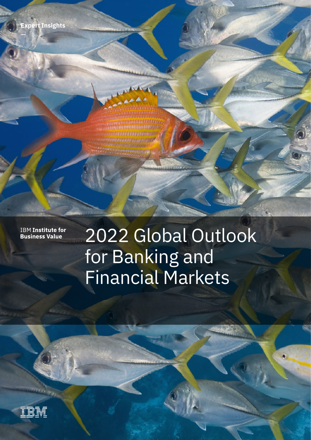**Expert Insights**

**IBM Institute for<br>Business Value** 

# 2022 Global Outlook for Banking and Financial Markets

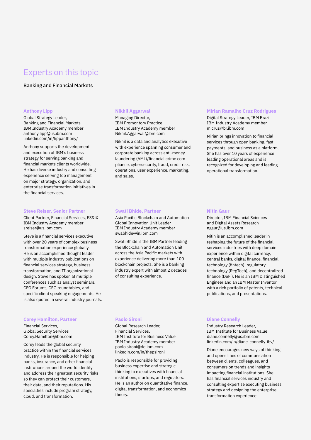### Experts on this topic

#### Banking and Financial Markets

#### **Anthony Lipp**

Global Strategy Leader, Banking and Financial Markets IBM Industry Academy member [anthony.lipp@us.ibm.com](mailto:anthony.lipp@us.ibm.com) [linkedin.com/in/lippanthony/](http://linkedin.com/in/lippanthony/)

Anthony supports the development and execution of IBM's business strategy for serving banking and financial markets clients worldwide. He has diverse industry and consulting experience serving top management on major strategy, organization, and enterprise transformation initiatives in the financial services.

#### **Steve Reiser, Senior Partner**

Client Partner, Financial Services, ES&iX IBM Industry Academy member [sreiser@us.ibm.com](mailto:sreiser@us.ibm.com)

Steve is a financial services executive with over 20 years of complex business transformation experience globally. He is an accomplished thought leader with multiple industry publications on financial services strategy, business transformation, and IT organizational design. Steve has spoken at multiple conferences such as analyst seminars, CFO Forums, CEO roundtables, and specific client speaking engagements. He is also quoted in several industry journals.

#### **Corey Hamilton, Partner**

Financial Services, Global Security Services [Corey.Hamilton@ibm.com](mailto:Corey.Hamilton@ibm.com)

Corey leads the global security practice within the financial services industry. He is responsible for helping banks, insurance, and other financial institutions around the world identify and address their greatest security risks so they can protect their customers, their data, and their reputations. His specialties include program strategy, cloud, and transformation.

#### **Nikhil Aggarwal**

Managing Director, IBM Promontory Practice IBM Industry Academy member [Nikhil.Aggarwal@ibm.com](mailto:Nikhil.Aggarwal@ibm.com)

Nikhil is a data and analytics executive with experience spanning consumer and corporate banking across anti-money laundering (AML)/financial crime compliance, cybersecurity, fraud, credit risk, operations, user experience, marketing, and sales.

#### **Mirian Ramalho Cruz Rodrigues**

Digital Strategy Leader, IBM Brazil IBM Industry Academy member [micruz@br.ibm.com](mailto:micruz@br.ibm.com)

Mirian brings innovation to financial services through open banking, fast payments, and business as a platform. She has over 10 years of experience leading operational areas and is recognized for developing and leading operational transformation.

#### **Swati Bhide, Partner**

Asia Pacific Blockchain and Automation Global Innovation Unit Leader IBM Industry Academy member [swabhide@in.ibm.com](mailto:swabhide@in.ibm.com)

Swati Bhide is the IBM Partner leading the Blockchain and Automation Unit across the Asia Pacific markets with experience delivering more than 100 blockchain projects. She is a banking industry expert with almost 2 decades of consulting experience.

#### **Paolo Sironi**

Global Research Leader, Financial Services, IBM Institute for Business Value IBM Industry Academy member [paolo.sironi@de.ibm.com](mailto:paolo.sironi@de.ibm.com) [linkedin.com/in/thepsironi](http://linkedin.com/in/thepsironi)

Paolo is responsible for providing business expertise and strategic thinking to executives with financial institutions, startups, and regulators. He is an author on quantitative finance, digital transformation, and economics theory.

#### **Nitin Gaur**

Director, IBM Financial Sciences and Digital Assets Research [ngaur@us.ibm.com](mailto:ngaur@us.ibm.com)

Nitin is an accomplished leader in reshaping the future of the financial services industries with deep domain experience within digital currency, central banks, digital finance, financial technology (fintech), regulatory technology (RegTech), and decentralized finance (DeFi). He is an IBM Distinguished Engineer and an IBM Master Inventor with a rich portfolio of patents, technical publications, and presentations.

#### **Diane Connelly**

Industry Research Leader, IBM Institute for Business Value [diane.connelly@us.ibm.com](mailto:diane.connelly@us.ibm.com) [linkedin.com/in/diane-connelly-ibv/](http://linkedin.com/in/diane-connelly-ibv/)

Diane encourages new ways of thinking and opens lines of communication between clients, colleagues, and consumers on trends and insights impacting financial institutions. She has financial services industry and consulting expertise executing business strategy and designing the enterprise transformation experience.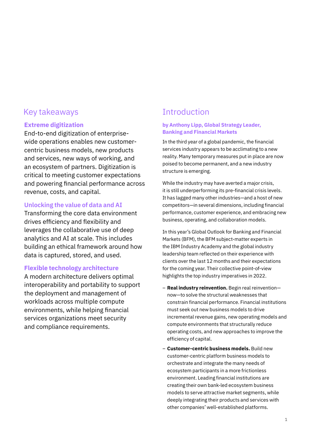### Key takeaways **Introduction**

#### **Extreme digitization**

End-to-end digitization of enterprisewide operations enables new customercentric business models, new products and services, new ways of working, and an ecosystem of partners. Digitization is critical to meeting customer expectations and powering financial performance across revenue, costs, and capital.

#### **Unlocking the value of data and AI**

Transforming the core data environment drives efficiency and flexibility and leverages the collaborative use of deep analytics and AI at scale. This includes building an ethical framework around how data is captured, stored, and used.

#### **Flexible technology architecture**

A modern architecture delivers optimal interoperability and portability to support the deployment and management of workloads across multiple compute environments, while helping financial services organizations meet security and compliance requirements.

#### **by Anthony Lipp, Global Strategy Leader, Banking and Financial Markets**

In the third year of a global pandemic, the financial services industry appears to be acclimating to a new reality. Many temporary measures put in place are now poised to become permanent, and a new industry structure is emerging.

While the industry may have averted a major crisis, it is still underperforming its pre-financial crisis levels. It has lagged many other industries—and a host of new competitors—in several dimensions, including financial performance, customer experience, and embracing new business, operating, and collaboration models.

In this year's Global Outlook for Banking and Financial Markets (BFM), the BFM subject-matter experts in the IBM Industry Academy and the global industry leadership team reflected on their experience with clients over the last 12 months and their expectations for the coming year. Their collective point-of-view highlights the top industry imperatives in 2022.

- **Real industry reinvention.** Begin real reinvention now—to solve the structural weaknesses that constrain financial performance. Financial institutions must seek out new business models to drive incremental revenue gains, new operating models and compute environments that structurally reduce operating costs, and new approaches to improve the efficiency of capital.
- **Customer-centric business models.** Build new customer-centric platform business models to orchestrate and integrate the many needs of ecosystem participants in a more frictionless environment. Leading financial institutions are creating their own bank-led ecosystem business models to serve attractive market segments, while deeply integrating their products and services with other companies' well-established platforms.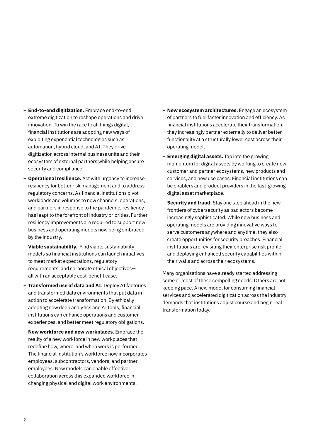- **End-to-end digitization.** Embrace end-to-end extreme digitization to reshape operations and drive innovation. To win the race to all things digital, financial institutions are adopting new ways of exploiting exponential technologies such as automation, hybrid cloud, and AI. They drive digitization across internal business units and their ecosystem of external partners while helping ensure security and compliance.
- **Operational resilience.** Act with urgency to increase resiliency for better risk management and to address regulatory concerns. As financial institutions pivot workloads and volumes to new channels, operations, and partners in response to the pandemic, resiliency has leapt to the forefront of industry priorities. Further resiliency improvements are required to support new business and operating models now being embraced by the industry.
- **Viable sustainability.** Find viable sustainability models so financial institutions can launch initiatives to meet market expectations, regulatory requirements, and corporate ethical objectives all with an acceptable cost-benefit case.
- **Transformed use of data and AI.** Deploy AI factories and transformed data environments that put data in action to accelerate transformation. By ethically adopting new deep analytics and AI tools, financial institutions can enhance operations and customer experiences, and better meet regulatory obligations.
- **New workforce and new workplaces.** Embrace the reality of a new workforce in new workplaces that redefine how, where, and when work is performed. The financial institution's workforce now incorporates employees, subcontractors, vendors, and partner employees. New models can enable effective collaboration across this expanded workforce in changing physical and digital work environments.
- **New ecosystem architectures.** Engage an ecosystem of partners to fuel faster innovation and efficiency. As financial institutions accelerate their transformation, they increasingly partner externally to deliver better functionality at a structurally lower cost across their operating model.
- **Emerging digital assets.** Tap into the growing momentum for digital assets by working to create new customer and partner ecosystems, new products and services, and new use cases. Financial institutions can be enablers and product providers in the fast-growing digital asset marketplace.
- **Security and fraud.** Stay one step ahead in the new frontiers of cybersecurity as bad actors become increasingly sophisticated. While new business and operating models are providing innovative ways to serve customers anywhere and anytime, they also create opportunities for security breaches. Financial institutions are revisiting their enterprise risk profile and deploying enhanced security capabilities within their walls and across their ecosystems.

Many organizations have already started addressing some or most of these compelling needs. Others are not keeping pace. A new model for consuming financial services and accelerated digitization across the industry demands that institutions adjust course and begin real transformation today.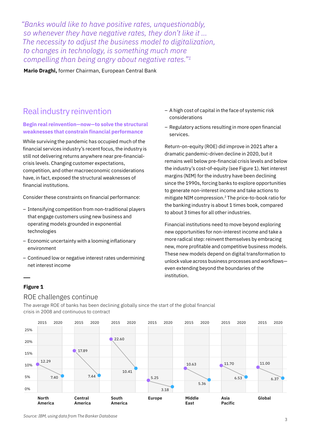*"Banks would like to have positive rates, unquestionably, so whenever they have negative rates, they don't like it … The necessity to adjust the business model to digitalization, to changes in technology, is something much more compelling than being angry about negative rates."1*

**Mario Draghi,** former Chairman, European Central Bank

### Real industry reinvention

#### **Begin real reinvention—now—to solve the structural weaknesses that constrain financial performance**

While surviving the pandemic has occupied much of the financial services industry's recent focus, the industry is still not delivering returns anywhere near pre-financialcrisis levels. Changing customer expectations, competition, and other macroeconomic considerations have, in fact, exposed the structural weaknesses of financial institutions.

Consider these constraints on financial performance:

- Intensifying competition from non-traditional players that engage customers using new business and operating models grounded in exponential technologies
- Economic uncertainty with a looming inflationary environment
- Continued low or negative interest rates undermining net interest income
- A high cost of capital in the face of systemic risk considerations
- Regulatory actions resulting in more open financial services.

Return-on-equity (ROE) did improve in 2021 after a dramatic pandemic-driven decline in 2020, but it remains well below pre-financial crisis levels and below the industry's cost-of-equity (see Figure 1). Net interest margins (NIM) for the industry have been declining since the 1990s, forcing banks to explore opportunities to generate non-interest income and take actions to mitigate NIM compression.2 The price-to-book ratio for the banking industry is about 1 times book, compared to about 3 times for all other industries.

Financial institutions need to move beyond exploring new opportunities for non-interest income and take a more radical step: reinvent themselves by embracing new, more profitable and competitive business models. These new models depend on digital transformation to unlock value across business processes and workflows even extending beyond the boundaries of the institution.

#### **Figure 1**

#### ROE challenges continue

The average ROE of banks has been declining globally since the start of the global financial crisis in 2008 and continuous to contract



*Source: IBM, using data from The Banker Database*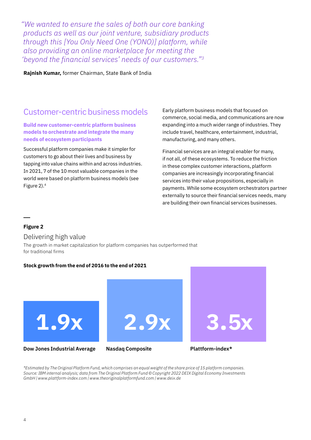*"We wanted to ensure the sales of both our core banking products as well as our joint venture, subsidiary products through this [You Only Need One (YONO)] platform, while also providing an online marketplace for meeting the 'beyond the financial services' needs of our customers."3*

**Rajnish Kumar,** former Chairman, State Bank of India

### Customer-centric business models

**Build new customer-centric platform business models to orchestrate and integrate the many needs of ecosystem participants**

Successful platform companies make it simpler for customers to go about their lives and business by tapping into value chains within and across industries. In 2021, 7 of the 10 most valuable companies in the world were based on platform business models (see Figure 2).4

Early platform business models that focused on commerce, social media, and communications are now expanding into a much wider range of industries. They include travel, healthcare, entertainment, industrial, manufacturing, and many others.

Financial services are an integral enabler for many, if not all, of these ecosystems. To reduce the friction in these complex customer interactions, platform companies are increasingly incorporating financial services into their value propositions, especially in payments. While some ecosystem orchestrators partner externally to source their financial services needs, many are building their own financial services businesses.

#### **Figure 2**

#### Delivering high value

The growth in market capitalization for platform companies has outperformed that for traditional firms

#### **Stock growth from the end of 2016 to the end of 2021**



*\*Estimated by The Original Platform Fund, which comprises an equal weight of the share price of 15 platform companies. Source: IBM internal analysis; data from The Original Platform Fund © Copyright 2022 DEIX Digital Economy Investments GmbH | www.plattform-index.com | www.theoriginalplatformfund.com | www.deix.de*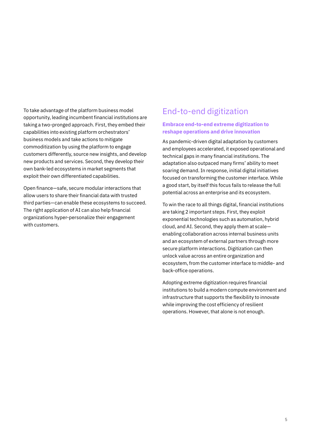To take advantage of the platform business model opportunity, leading incumbent financial institutions are taking a two-pronged approach. First, they embed their capabilities into existing platform orchestrators' business models and take actions to mitigate commoditization by using the platform to engage customers differently, source new insights, and develop new products and services. Second, they develop their own bank-led ecosystems in market segments that exploit their own differentiated capabilities.

Open finance—safe, secure modular interactions that allow users to share their financial data with trusted third parties—can enable these ecosystems to succeed. The right application of AI can also help financial organizations hyper-personalize their engagement with customers.

### End-to-end digitization

#### **Embrace end-to-end extreme digitization to reshape operations and drive innovation**

As pandemic-driven digital adaptation by customers and employees accelerated, it exposed operational and technical gaps in many financial institutions. The adaptation also outpaced many firms' ability to meet soaring demand. In response, initial digital initiatives focused on transforming the customer interface. While a good start, by itself this focus fails to release the full potential across an enterprise and its ecosystem.

To win the race to all things digital, financial institutions are taking 2 important steps. First, they exploit exponential technologies such as automation, hybrid cloud, and AI. Second, they apply them at scale enabling collaboration across internal business units and an ecosystem of external partners through more secure platform interactions. Digitization can then unlock value across an entire organization and ecosystem, from the customer interface to middle- and back-office operations.

Adopting extreme digitization requires financial institutions to build a modern compute environment and infrastructure that supports the flexibility to innovate while improving the cost efficiency of resilient operations. However, that alone is not enough.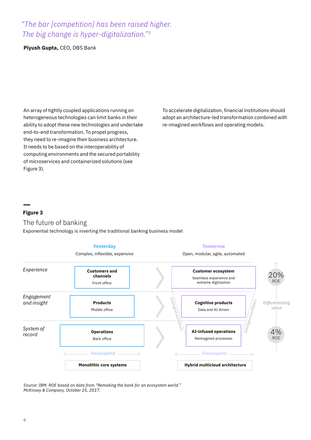### *"The bar [competition] has been raised higher. The big change is hyper-digitalization."5*

**Piyush Gupta,** CEO, DBS Bank

An array of tightly coupled applications running on heterogeneous technologies can limit banks in their ability to adopt these new technologies and undertake end-to-end transformation. To propel progress, they need to re-imagine their business architecture. It needs to be based on the interoperability of computing environments and the secured portability of microservices and containerized solutions (see Figure 3).

To accelerate digitalization, financial institutions should adopt an architecture-led transformation combined with re-imagined workflows and operating models.

#### **Figure 3**

### The future of banking

Exponential technology is inverting the traditional banking business model



*Source: IBM. ROE based on data from "Remaking the bank for an ecosystem world." McKinsey & Company. October 25, 2017.*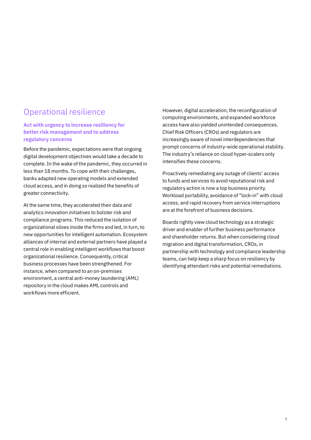### Operational resilience

#### **Act with urgency to increase resiliency for better risk management and to address regulatory concerns**

Before the pandemic, expectations were that ongoing digital development objectives would take a decade to complete. In the wake of the pandemic, they occurred in less than 18 months. To cope with their challenges, banks adapted new operating models and extended cloud access, and in doing so realized the benefits of greater connectivity.

At the same time, they accelerated their data and analytics innovation initiatives to bolster risk and compliance programs. This reduced the isolation of organizational siloes inside the firms and led, in turn, to new opportunities for intelligent automation. Ecosystem alliances of internal and external partners have played a central role in enabling intelligent workflows that boost organizational resilience. Consequently, critical business processes have been strengthened. For instance, when compared to an on-premises environment, a central anti-money laundering (AML) repository in the cloud makes AML controls and workflows more efficient.

However, digital acceleration, the reconfiguration of computing environments, and expanded workforce access have also yielded unintended consequences. Chief Risk Officers (CROs) and regulators are increasingly aware of novel interdependencies that prompt concerns of industry-wide operational stability. The industry's reliance on cloud hyper-scalers only intensifies these concerns.

Proactively remediating any outage of clients' access to funds and services to avoid reputational risk and regulatory action is now a top business priority. Workload portability, avoidance of "lock-in" with cloud access, and rapid recovery from service interruptions are at the forefront of business decisions.

Boards rightly view cloud technology as a strategic driver and enabler of further business performance and shareholder returns. But when considering cloud migration and digital transformation, CROs, in partnership with technology and compliance leadership teams, can help keep a sharp focus on resiliency by identifying attendant risks and potential remediations.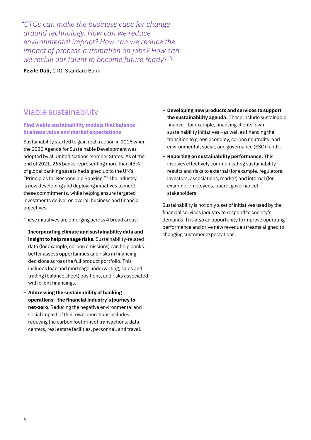*"CTOs can make the business case for change around technology. How can we reduce environmental impact? How can we reduce the impact of process automation on jobs? How can we reskill our talent to become future ready?"6*

**Fezile Dali,** CTO, Standard Bank

### Viable sustainability

#### **Find viable sustainability models that balance business value and market expectations**

Sustainability started to gain real traction in 2015 when the 2030 Agenda for Sustainable Development was adopted by all United Nations Member States. As of the end of 2021, 265 banks representing more than 45% of global banking assets had signed up to the UN's "Principles for Responsible Banking."7 The industry is now developing and deploying initiatives to meet these commitments, while helping ensure targeted investments deliver on overall business and financial objectives.

These initiatives are emerging across 4 broad areas:

- **Incorporating climate and sustainability data and insight to help manage risks.** Sustainability-related data (for example, carbon emissions) can help banks better assess opportunities and risks in financing decisions across the full product portfolio. This includes loan and mortgage underwriting, sales and trading (balance sheet) positions, and risks associated with client financings.
- **Addressing the sustainability of banking operations—the financial industry's journey to net-zero**. Reducing the negative environmental and social impact of their own operations includes reducing the carbon footprint of transactions, data centers, real estate facilities, personnel, and travel.
- **Developing new products and services to support the sustainability agenda.** These include sustainable finance—for example, financing clients' own sustainability initiatives—as well as financing the transition to green economy, carbon neutrality, and environmental, social, and governance (ESG) funds.
- **Reporting on sustainability performance.** This involves effectively communicating sustainability results and risks to external (for example, regulators, investors, associations, market) and internal (for example, employees, board, governance) stakeholders.

Sustainability is not only a set of initiatives used by the financial services industry to respond to society's demands. It is also an opportunity to improve operating performance and drive new revenue streams aligned to changing customer expectations.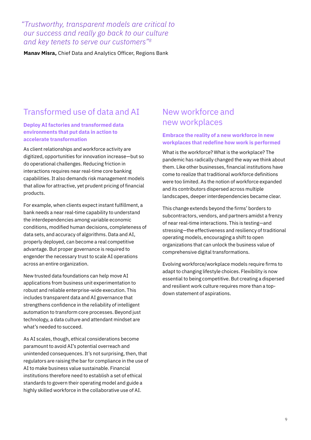*"Trustworthy, transparent models are critical to our success and really go back to our culture and key tenets to serve our customers"8*

**Manav Misra,** Chief Data and Analytics Officer, Regions Bank

### Transformed use of data and AI

#### **Deploy AI factories and transformed data environments that put data in action to accelerate transformation**

As client relationships and workforce activity are digitized, opportunities for innovation increase—but so do operational challenges. Reducing friction in interactions requires near real-time core banking capabilities. It also demands risk management models that allow for attractive, yet prudent pricing of financial products.

For example, when clients expect instant fulfillment, a bank needs a near real-time capability to understand the interdependencies among variable economic conditions, modified human decisions, completeness of data sets, and accuracy of algorithms. Data and AI, properly deployed, can become a real competitive advantage. But proper governance is required to engender the necessary trust to scale AI operations across an entire organization.

New trusted data foundations can help move AI applications from business unit experimentation to robust and reliable enterprise-wide execution. This includes transparent data and AI governance that strengthens confidence in the reliability of intelligent automation to transform core processes. Beyond just technology, a data culture and attendant mindset are what's needed to succeed.

As AI scales, though, ethical considerations become paramount to avoid AI's potential overreach and unintended consequences. It's not surprising, then, that regulators are raising the bar for compliance in the use of AI to make business value sustainable. Financial institutions therefore need to establish a set of ethical standards to govern their operating model and guide a highly skilled workforce in the collaborative use of AI.

### New workforce and new workplaces

#### **Embrace the reality of a new workforce in new workplaces that redefine how work is performed**

What is the workforce? What is the workplace? The pandemic has radically changed the way we think about them. Like other businesses, financial institutions have come to realize that traditional workforce definitions were too limited. As the notion of workforce expanded and its contributors dispersed across multiple landscapes, deeper interdependencies became clear.

This change extends beyond the firms' borders to subcontractors, vendors, and partners amidst a frenzy of near real-time interactions. This is testing—and stressing—the effectiveness and resiliency of traditional operating models, encouraging a shift to open organizations that can unlock the business value of comprehensive digital transformations.

Evolving workforce/workplace models require firms to adapt to changing lifestyle choices. Flexibility is now essential to being competitive. But creating a dispersed and resilient work culture requires more than a topdown statement of aspirations.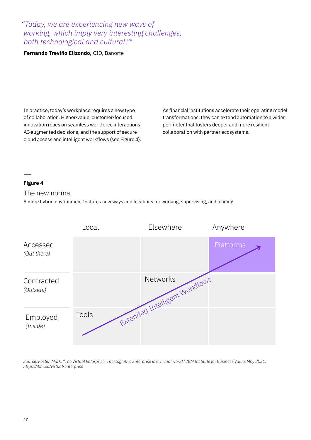### *"Today, we are experiencing new ways of working, which imply very interesting challenges, both technological and cultural."9*

#### **Fernando Treviño Elizondo,** CIO, Banorte

In practice, today's workplace requires a new type of collaboration. Higher-value, customer-focused innovation relies on seamless workforce interactions, AI-augmented decisions, and the support of secure cloud access and intelligent workflows (see Figure 4).

As financial institutions accelerate their operating model transformations, they can extend automation to a wider perimeter that fosters deeper and more resilient collaboration with partner ecosystems.

#### **Figure 4**

The new normal

A more hybrid environment features new ways and locations for working, supervising, and leading

|                         | Local        | Elsewhere                      | Anywhere  |
|-------------------------|--------------|--------------------------------|-----------|
| Accessed<br>(Out there) |              |                                | Platforms |
| Contracted<br>(Outside) |              | Extended Intelligent Workflows |           |
| Employed<br>(Inside)    | <b>Tools</b> |                                |           |

*Source: Foster, Mark. "The Virtual Enterprise: The Cognitive Enterprise in a virtual world." IBM Institute for Business Value. May 2021. <https://ibm.co/virtual-enterprise>*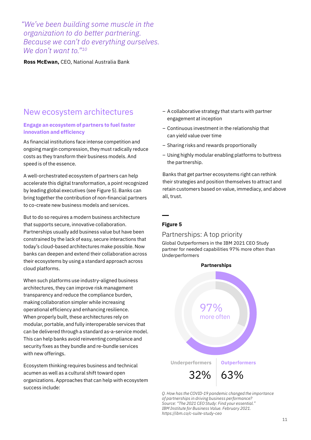*"We've been building some muscle in the organization to do better partnering. Because we can't do everything ourselves. We don't want to."10*

**Ross McEwan,** CEO, National Australia Bank

### New ecosystem architectures

#### **Engage an ecosystem of partners to fuel faster innovation and efficiency**

As financial institutions face intense competition and ongoing margin compression, they must radically reduce costs as they transform their business models. And speed is of the essence.

A well-orchestrated ecosystem of partners can help accelerate this digital transformation, a point recognized by leading global executives (see Figure 5). Banks can bring together the contribution of non-financial partners to co-create new business models and services.

But to do so requires a modern business architecture that supports secure, innovative collaboration. Partnerships usually add business value but have been constrained by the lack of easy, secure interactions that today's cloud-based architectures make possible. Now banks can deepen and extend their collaboration across their ecosystems by using a standard approach across cloud platforms.

When such platforms use industry-aligned business architectures, they can improve risk management transparency and reduce the compliance burden, making collaboration simpler while increasing operational efficiency and enhancing resilience. When properly built, these architectures rely on modular, portable, and fully interoperable services that can be delivered through a standard as-a-service model. This can help banks avoid reinventing compliance and security fixes as they bundle and re-bundle services with new offerings.

Ecosystem thinking requires business and technical acumen as well as a cultural shift toward open organizations. Approaches that can help with ecosystem success include:

- A collaborative strategy that starts with partner engagement at inception
- Continuous investment in the relationship that can yield value over time
- Sharing risks and rewards proportionally
- Using highly modular enabling platforms to buttress the partnership.

Banks that get partner ecosystems right can rethink their strategies and position themselves to attract and retain customers based on value, immediacy, and above all, trust.

#### **Figure 5**

#### Partnerships: A top priority

Global Outperformers in the IBM 2021 CEO Study partner for needed capabilities 97% more often than Underperformers



*Q. How has the COVID-19 pandemic changed the importance of partnerships in driving business performance? Source: "The 2021 CEO Study: Find your essential." IBM Institute for Business Value. February 2021. <https://ibm.co/c-suite-study-ceo>*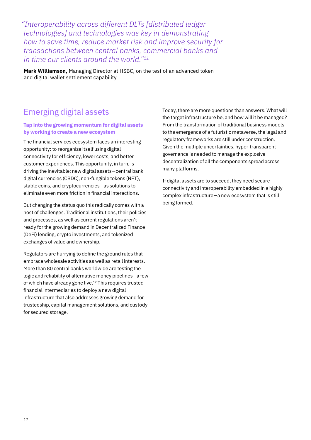*"Interoperability across different DLTs [distributed ledger technologies] and technologies was key in demonstrating how to save time, reduce market risk and improve security for transactions between central banks, commercial banks and in time our clients around the world."11*

**Mark Williamson,** Managing Director at HSBC, on the test of an advanced token and digital wallet settlement capability

## Emerging digital assets

#### **Tap into the growing momentum for digital assets by working to create a new ecosystem**

The financial services ecosystem faces an interesting opportunity: to reorganize itself using digital connectivity for efficiency, lower costs, and better customer experiences. This opportunity, in turn, is driving the inevitable: new digital assets—central bank digital currencies (CBDC), non-fungible tokens (NFT), stable coins, and cryptocurrencies—as solutions to eliminate even more friction in financial interactions.

But changing the status quo this radically comes with a host of challenges. Traditional institutions, their policies and processes, as well as current regulations aren't ready for the growing demand in Decentralized Finance (DeFi) lending, crypto investments, and tokenized exchanges of value and ownership.

Regulators are hurrying to define the ground rules that embrace wholesale activities as well as retail interests. More than 80 central banks worldwide are testing the logic and reliability of alternative money pipelines—a few of which have already gone live.<sup>12</sup> This requires trusted financial intermediaries to deploy a new digital infrastructure that also addresses growing demand for trusteeship, capital management solutions, and custody for secured storage.

Today, there are more questions than answers. What will the target infrastructure be, and how will it be managed? From the transformation of traditional business models to the emergence of a futuristic metaverse, the legal and regulatory frameworks are still under construction. Given the multiple uncertainties, hyper-transparent governance is needed to manage the explosive decentralization of all the components spread across many platforms.

If digital assets are to succeed, they need secure connectivity and interoperability embedded in a highly complex infrastructure—a new ecosystem that is still being formed.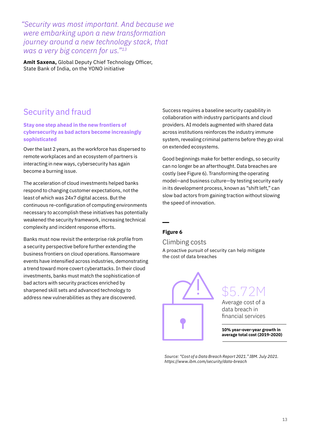*"Security was most important. And because we were embarking upon a new transformation journey around a new technology stack, that was a very big concern for us."13*

**Amit Saxena,** Global Deputy Chief Technology Officer, State Bank of India, on the YONO initiative

### Security and fraud

**Stay one step ahead in the new frontiers of cybersecurity as bad actors become increasingly sophisticated** 

Over the last 2 years, as the workforce has dispersed to remote workplaces and an ecosystem of partners is interacting in new ways, cybersecurity has again become a burning issue.

The acceleration of cloud investments helped banks respond to changing customer expectations, not the least of which was 24x7 digital access. But the continuous re-configuration of computing environments necessary to accomplish these initiatives has potentially weakened the security framework, increasing technical complexity and incident response efforts.

Banks must now revisit the enterprise risk profile from a security perspective before further extending the business frontiers on cloud operations. Ransomware events have intensified across industries, demonstrating a trend toward more covert cyberattacks. In their cloud investments, banks must match the sophistication of bad actors with security practices enriched by sharpened skill sets and advanced technology to address new vulnerabilities as they are discovered.

Success requires a baseline security capability in collaboration with industry participants and cloud providers. AI models augmented with shared data across institutions reinforces the industry immune system, revealing criminal patterns before they go viral on extended ecosystems.

Good beginnings make for better endings, so security can no longer be an afterthought. Data breaches are costly (see Figure 6). Transforming the operating model—and business culture—by testing security early in its development process, known as "shift left," can slow bad actors from gaining traction without slowing the speed of innovation.

#### **Figure 6**

Climbing costs

A proactive pursuit of security can help mitigate the cost of data breaches

 $5.72$ Average cost of a data breach in financial services **10% year-over-year growth in average total cost (2019-2020)**

*Source: "Cost of a Data Breach Report 2021." IBM. July 2021. <https://www.ibm.com/security/data-breach>*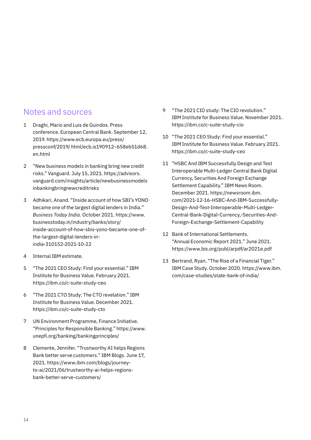### Notes and sources

- 1 Draghi, Mario and Luis de Guindos. Press conference. European Central Bank. September 12, 2019. [https://www.ecb.europa.eu/press/](https://www.ecb.europa.eu/press/pressconf/2019/html/ecb.is190912~658eb51d68.en.html) [pressconf/2019/ html/ecb.is190912~658eb51d68.](https://www.ecb.europa.eu/press/pressconf/2019/html/ecb.is190912~658eb51d68.en.html) [en.html](https://www.ecb.europa.eu/press/pressconf/2019/html/ecb.is190912~658eb51d68.en.html)
- 2 "New business models in banking bring new credit risks." Vanguard. July 15, 2021. [https://advisors.](https://advisors.vanguard.com/insights/article/newbusinessmodelsinbankingbringnewcreditrisks) [vanguard.com/insights/article/newbusinessmodels](https://advisors.vanguard.com/insights/article/newbusinessmodelsinbankingbringnewcreditrisks) [inbankingbringnewcreditrisks](https://advisors.vanguard.com/insights/article/newbusinessmodelsinbankingbringnewcreditrisks)
- 3 Adhikari, Anand. "Inside account of how SBI's YONO became one of the largest digital lenders in India." *Business Today India.* October 2021. [https://www.](https://www.businesstoday.in/industry/banks/story/inside-account-of-how-sbis-yono-became-one-of-the-largest-digital-lenders-in-india-310152-2021-10-22) [businesstoday.in/industry/banks/story/](https://www.businesstoday.in/industry/banks/story/inside-account-of-how-sbis-yono-became-one-of-the-largest-digital-lenders-in-india-310152-2021-10-22) [inside-account-of-how-sbis-yono-became-one-of](https://www.businesstoday.in/industry/banks/story/inside-account-of-how-sbis-yono-became-one-of-the-largest-digital-lenders-in-india-310152-2021-10-22)[the-largest-digital-lenders-in](https://www.businesstoday.in/industry/banks/story/inside-account-of-how-sbis-yono-became-one-of-the-largest-digital-lenders-in-india-310152-2021-10-22)[india-310152-2021-10-22](https://www.businesstoday.in/industry/banks/story/inside-account-of-how-sbis-yono-became-one-of-the-largest-digital-lenders-in-india-310152-2021-10-22)
- 4 Internal IBM estimate.
- 5 "The 2021 CEO Study: Find your essential." IBM Institute for Business Value. February 2021. <https://ibm.co/c-suite-study-ceo>
- 6 "The 2021 CTO Study: The CTO revelation." IBM Institute for Business Value. December 2021. <https://ibm.co/c-suite-study-cto>
- 7 UN Environment Programme, Finance Initiative. "Principles for Responsible Banking." [https://www.](https://www.unepfi.org/banking/bankingprinciples/) [unepfi.org/banking/bankingprinciples/](https://www.unepfi.org/banking/bankingprinciples/)
- 8 Clemente, Jennifer. "Trustworthy AI helps Regions Bank better serve customers." IBM Blogs. June 17, 2021. [https://www.ibm.com/blogs/journey](https://www.ibm.com/blogs/journey-to-ai/2021/06/trustworthy-ai-helps-regions-bank-better-serve-customers/)[to-ai/2021/06/trustworthy-ai-helps-regions](https://www.ibm.com/blogs/journey-to-ai/2021/06/trustworthy-ai-helps-regions-bank-better-serve-customers/)[bank-better-serve-customers/](https://www.ibm.com/blogs/journey-to-ai/2021/06/trustworthy-ai-helps-regions-bank-better-serve-customers/)
- 9 "The 2021 CIO study: The CIO revolution." IBM Institute for Business Value. November 2021. <https://ibm.co/c-suite-study-cio>
- 10 "The 2021 CEO Study: Find your essential." IBM Institute for Business Value. February 2021. <https://ibm.co/c-suite-study-ceo>
- 11 "HSBC And IBM Successfully Design and Test Interoperable Multi-Ledger Central Bank Digital Currency, Securities And Foreign Exchange Settlement Capability." IBM News Room. December 2021. [https://newsroom.ibm.](https://newsroom.ibm.com/2021-12-16-HSBC-And-IBM-Successfully-Design-And-Test-Interoperable-Multi-Ledger-Central-Bank-Digital-Currency,-Securities-And-Foreign-Exchange-Settlement-Capability) [com/2021-12-16-HSBC-And-IBM-Successfully-](https://newsroom.ibm.com/2021-12-16-HSBC-And-IBM-Successfully-Design-And-Test-Interoperable-Multi-Ledger-Central-Bank-Digital-Currency,-Securities-And-Foreign-Exchange-Settlement-Capability)[Design-And-Test-Interoperable-Multi-Ledger-](https://newsroom.ibm.com/2021-12-16-HSBC-And-IBM-Successfully-Design-And-Test-Interoperable-Multi-Ledger-Central-Bank-Digital-Currency,-Securities-And-Foreign-Exchange-Settlement-Capability)[Central-Bank-Digital-Currency,-Securities-And-](https://newsroom.ibm.com/2021-12-16-HSBC-And-IBM-Successfully-Design-And-Test-Interoperable-Multi-Ledger-Central-Bank-Digital-Currency,-Securities-And-Foreign-Exchange-Settlement-Capability)[Foreign-Exchange-Settlement-Capability](https://newsroom.ibm.com/2021-12-16-HSBC-And-IBM-Successfully-Design-And-Test-Interoperable-Multi-Ledger-Central-Bank-Digital-Currency,-Securities-And-Foreign-Exchange-Settlement-Capability)
- 12 Bank of International Settlements. "Annual Economic Report 2021." June 2021. <https://www.bis.org/publ/arpdf/ar2021e.pdf>
- 13 Bertrand, Ryan. "The Rise of a Financial Tiger." IBM Case Study. October 2020. [https://www.ibm.](https://www.ibm.com/case-studies/state-bank-of-india/) [com/case-studies/state-bank-of-india/](https://www.ibm.com/case-studies/state-bank-of-india/)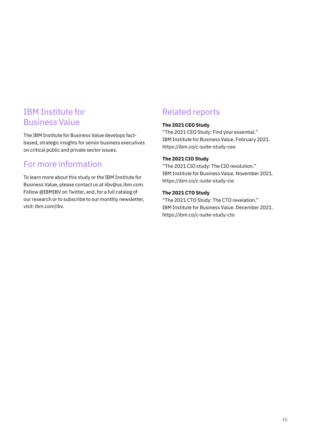### IBM Institute for Business Value

The IBM Institute for Business Value develops factbased, strategic insights for senior business executives on critical public and private sector issues.

### For more information

To learn more about this study or the IBM Institute for Business Value, please contact us at [iibv@us.ibm.com.](mailto:iibv%40us.ibm.com?subject=) Follow [@IBMIBV](http://twitter.com/IBMIBV) on Twitter, and, for a full catalog of our research or to subscribe to our monthly newsletter, visit: [ibm.com/ibv](http://ibm.com/ibv).

## Related reports

#### **The 2021 CEO Study**

"The 2021 CEO Study: Find your essential." IBM Institute for Business Value. February 2021. <https://ibm.co/c-suite-study-ceo>

#### **The 2021 CIO Study**

"The 2021 CIO study: The CIO revolution." IBM Institute for Business Value. November 2021. <https://ibm.co/c-suite-study-cio>

#### **The 2021 CTO Study**

"The 2021 CTO Study: The CTO revelation." IBM Institute for Business Value. December 2021. <https://ibm.co/c-suite-study-cto>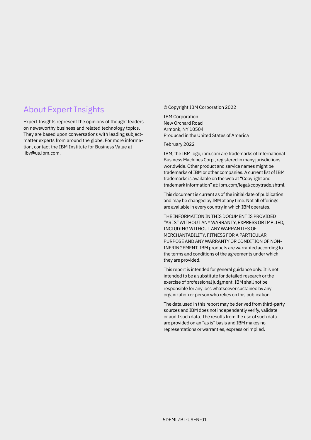### About Expert Insights

Expert Insights represent the opinions of thought leaders on newsworthy business and related technology topics. They are based upon conversations with leading subjectmatter experts from around the globe. For more information, contact the IBM Institute for Business Value at [iibv@us.ibm.com](mailto:iibv%40us.ibm.com?subject=).

#### © Copyright IBM Corporation 2022

IBM Corporation New Orchard Road Armonk, NY 10504 Produced in the United States of America

February 2022

IBM, the IBM logo, [ibm.com](http://www.ibm.com) are trademarks of International Business Machines Corp., registered in many jurisdictions worldwide. Other product and service names might be trademarks of IBM or other companies. A current list of IBM trademarks is available on the web at "Copyright and trademark information" at: ibm.com/legal/copytrade.shtml.

This document is current as of the initial date of publication and may be changed by IBM at any time. Not all offerings are available in every country in which IBM operates.

THE INFORMATION IN THIS DOCUMENT IS PROVIDED "AS IS" WITHOUT ANY WARRANTY, EXPRESS OR IMPLIED, INCLUDING WITHOUT ANY WARRANTIES OF MERCHANTABILITY, FITNESS FOR A PARTICULAR PURPOSE AND ANY WARRANTY OR CONDITION OF NON-INFRINGEMENT. IBM products are warranted according to the terms and conditions of the agreements under which they are provided.

This report is intended for general guidance only. It is not intended to be a substitute for detailed research or the exercise of professional judgment. IBM shall not be responsible for any loss whatsoever sustained by any organization or person who relies on this publication.

The data used in this report may be derived from third-party sources and IBM does not independently verify, validate or audit such data. The results from the use of such data are provided on an "as is" basis and IBM makes no representations or warranties, express or implied.